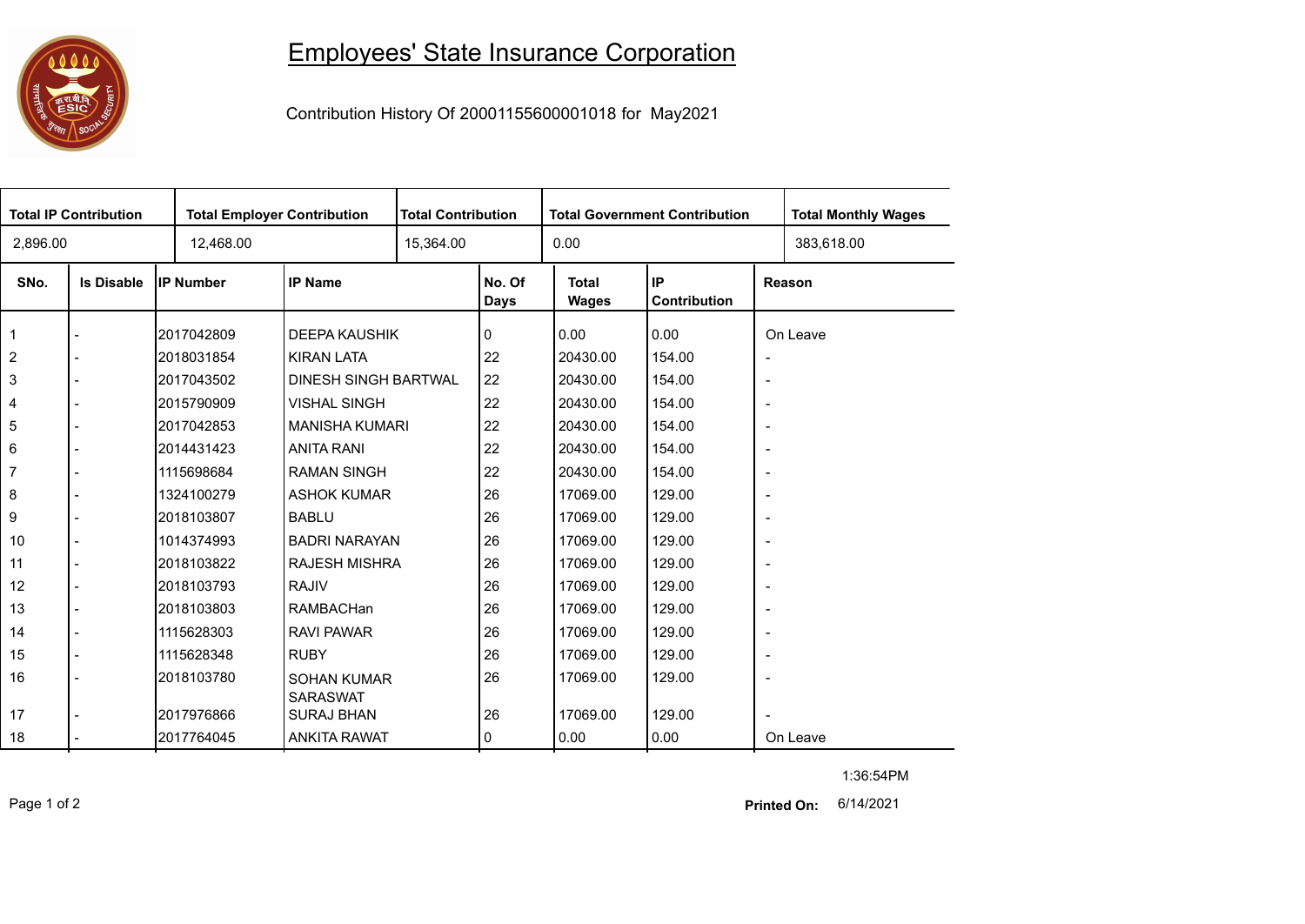

## Employees' State Insurance Corporation

Contribution History Of 20001155600001018 for May2021

| <b>Total IP Contribution</b> |                   |                  | <b>Total Employer Contribution</b> |           | <b>Total Contribution</b> |                              | <b>Total Government Contribution</b> | <b>Total Monthly Wages</b> |            |  |
|------------------------------|-------------------|------------------|------------------------------------|-----------|---------------------------|------------------------------|--------------------------------------|----------------------------|------------|--|
| 2,896.00                     |                   | 12,468.00        |                                    | 15,364.00 |                           | 0.00                         |                                      |                            | 383,618.00 |  |
| SNo.                         | <b>Is Disable</b> | <b>IP Number</b> | <b>IP Name</b>                     |           | No. Of<br>Days            | <b>Total</b><br><b>Wages</b> | IP<br>Contribution                   |                            | Reason     |  |
| 1                            |                   | 2017042809       | <b>DEEPA KAUSHIK</b>               |           | 0                         | 0.00                         | 0.00                                 |                            | On Leave   |  |
| $\overline{c}$               |                   | 2018031854       | <b>KIRAN LATA</b>                  |           | 22                        | 20430.00                     | 154.00                               | $\overline{\phantom{a}}$   |            |  |
| 3                            |                   | 2017043502       | <b>DINESH SINGH BARTWAL</b>        |           | 22                        | 20430.00                     | 154.00                               | $\overline{\phantom{a}}$   |            |  |
| 4                            |                   | 2015790909       | <b>VISHAL SINGH</b>                |           | 22                        | 20430.00                     | 154.00                               | $\overline{\phantom{a}}$   |            |  |
| 5                            |                   | 2017042853       | <b>MANISHA KUMARI</b>              |           | 22                        | 20430.00                     | 154.00                               | $\overline{\phantom{a}}$   |            |  |
| 6                            |                   | 2014431423       | <b>ANITA RANI</b>                  |           | 22                        | 20430.00                     | 154.00                               | $\overline{\phantom{a}}$   |            |  |
| 7                            |                   | 1115698684       | <b>RAMAN SINGH</b>                 |           | 22                        | 20430.00                     | 154.00                               | $\overline{\phantom{a}}$   |            |  |
| 8                            |                   | 1324100279       | <b>ASHOK KUMAR</b>                 |           | 26                        | 17069.00                     | 129.00                               | $\overline{\phantom{a}}$   |            |  |
| 9                            |                   | 2018103807       | <b>BABLU</b>                       |           | 26                        | 17069.00                     | 129.00                               | $\overline{\phantom{a}}$   |            |  |
| 10                           |                   | 1014374993       | <b>BADRI NARAYAN</b>               |           | 26                        | 17069.00                     | 129.00                               | $\overline{\phantom{a}}$   |            |  |
| 11                           |                   | 2018103822       | <b>RAJESH MISHRA</b>               |           | 26                        | 17069.00                     | 129.00                               | $\overline{\phantom{a}}$   |            |  |
| 12                           |                   | 2018103793       | <b>RAJIV</b>                       |           | 26                        | 17069.00                     | 129.00                               | $\overline{\phantom{a}}$   |            |  |
| 13                           |                   | 2018103803       | RAMBACHan                          |           | 26                        | 17069.00                     | 129.00                               | $\overline{\phantom{a}}$   |            |  |
| 14                           |                   | 1115628303       | <b>RAVI PAWAR</b>                  |           | 26                        | 17069.00                     | 129.00                               | $\overline{\phantom{a}}$   |            |  |
| 15                           |                   | 1115628348       | <b>RUBY</b>                        |           | 26                        | 17069.00                     | 129.00                               | $\overline{\phantom{a}}$   |            |  |
| 16                           |                   | 2018103780       | <b>SOHAN KUMAR</b>                 |           | 26                        | 17069.00                     | 129.00                               | $\overline{\phantom{a}}$   |            |  |
|                              |                   |                  | <b>SARASWAT</b>                    |           |                           |                              |                                      |                            |            |  |
| 17                           |                   | 2017976866       | <b>SURAJ BHAN</b>                  |           | 26                        | 17069.00                     | 129.00                               |                            |            |  |
| 18                           |                   | 2017764045       | <b>ANKITA RAWAT</b>                |           | 0                         | 0.00                         | 0.00                                 |                            | On Leave   |  |

Page 1 of 2 6/14/2021 **Printed On:**

1:36:54PM